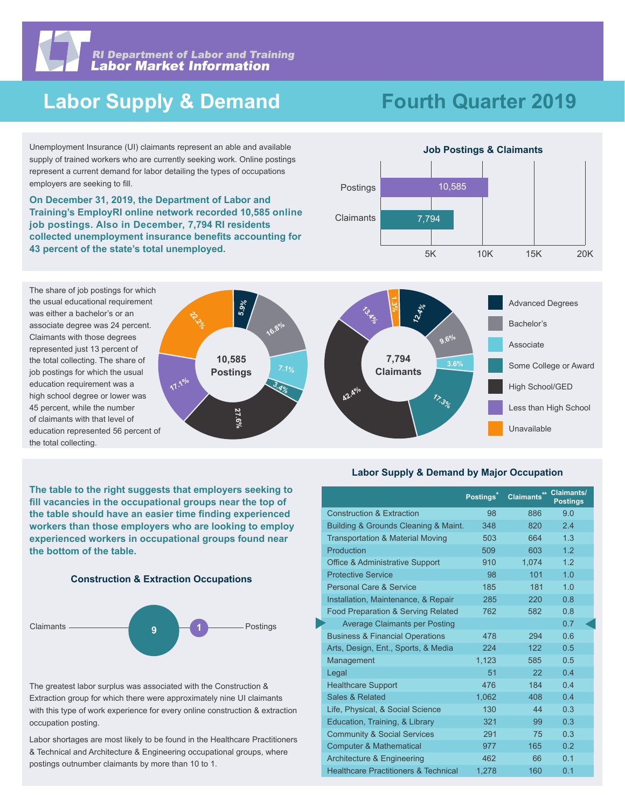

# **Labor Supply & Demand**

# **Fourth Quarter 2019**

Unemployment Insurance (UI) claimants represent an able and available supply of trained workers who are currently seeking work. Online postings represent a current demand for labor detailing the types of occupations employers are seeking to fill.

**On December 31, 2019, the Department of Labor and Training's EmployRI online network recorded 10,585 online job postings. Also in December, 7,794 RI residents collected unemployment insurance benefits accounting for 43 percent of the state's total unemployed.** 



The share of job postings for which the usual educational requirement was either a bachelor's or an associate degree was 24 percent. Claimants with those degrees represented just 13 percent of the total collecting. The share of job postings for which the usual education requirement was a high school degree or lower was 45 percent, while the number of claimants with that level of education represented 56 percent of the total collecting.



**The table to the right suggests that employers seeking to fill vacancies in the occupational groups near the top of the table should have an easier time finding experienced workers than those employers who are looking to employ experienced workers in occupational groups found near the bottom of the table.**





The greatest labor surplus was associated with the Construction & Extraction group for which there were approximately nine UI claimants with this type of work experience for every online construction & extraction occupation posting.

Labor shortages are most likely to be found in the Healthcare Practitioners & Technical and Architecture & Engineering occupational groups, where postings outnumber claimants by more than 10 to 1.

**Labor Supply & Demand by Major Occupation**

|                                                 | Postings <sup>*</sup> | Claimants** Claimants/ | <b>Postings</b> |
|-------------------------------------------------|-----------------------|------------------------|-----------------|
| <b>Construction &amp; Extraction</b>            | 98                    | 886                    | 9.0             |
| Building & Grounds Cleaning & Maint.            | 348                   | 820                    | 2.4             |
| <b>Transportation &amp; Material Moving</b>     | 503                   | 664                    | 13              |
| Production                                      | 509                   | 603                    | 12              |
| <b>Office &amp; Administrative Support</b>      | 910                   | 1.074                  | 12              |
| <b>Protective Service</b>                       | 98                    | 101                    | 1.0             |
| <b>Personal Care &amp; Service</b>              | 185                   | 181                    | 1.0             |
| Installation, Maintenance, & Repair             | 285                   | 220                    | 0.8             |
| <b>Food Preparation &amp; Serving Related</b>   | 762                   | 582                    | 0.8             |
| <b>Average Claimants per Posting</b>            |                       |                        | 0.7             |
| <b>Business &amp; Financial Operations</b>      | 478                   | 294                    | 06              |
| Arts, Design, Ent., Sports, & Media             | 224                   | 122 <sub>1</sub>       | 0.5             |
| Management                                      | 1.123                 | 585                    | 0.5             |
| Legal                                           | 51                    | 22 <sub>2</sub>        | 04              |
| <b>Healthcare Support</b>                       | 476                   | 184                    | 04              |
| Sales & Related                                 | 1.062                 | 408                    | 0.4             |
| Life, Physical, & Social Science                | 130                   | 44                     | 0 <sub>3</sub>  |
| Education, Training, & Library                  | 321                   | 99                     | 0.3             |
| <b>Community &amp; Social Services</b>          | 291                   | 75                     | 0.3             |
| <b>Computer &amp; Mathematical</b>              | 977                   | 165                    | 0 <sub>2</sub>  |
| Architecture & Engineering                      | 462                   | 66                     | 0.1             |
| <b>Healthcare Practitioners &amp; Technical</b> | 1,278                 | 160                    | 0.1             |
|                                                 |                       |                        |                 |